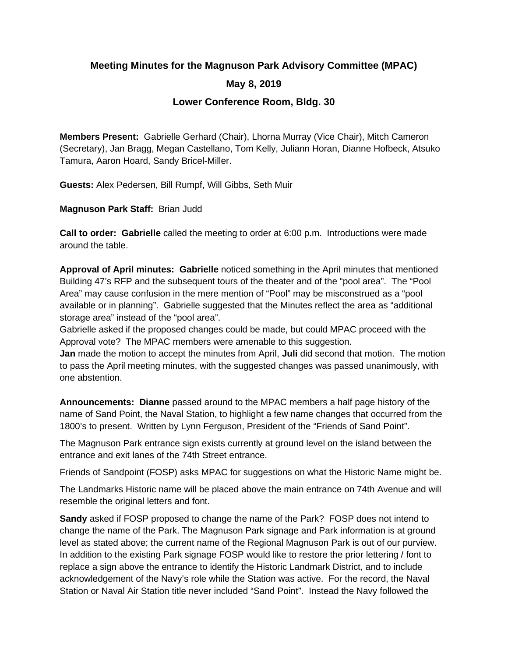# **Meeting Minutes for the Magnuson Park Advisory Committee (MPAC)**

## **May 8, 2019**

## **Lower Conference Room, Bldg. 30**

**Members Present:** Gabrielle Gerhard (Chair), Lhorna Murray (Vice Chair), Mitch Cameron (Secretary), Jan Bragg, Megan Castellano, Tom Kelly, Juliann Horan, Dianne Hofbeck, Atsuko Tamura, Aaron Hoard, Sandy Bricel-Miller.

**Guests:** Alex Pedersen, Bill Rumpf, Will Gibbs, Seth Muir

**Magnuson Park Staff:** Brian Judd

**Call to order: Gabrielle** called the meeting to order at 6:00 p.m. Introductions were made around the table.

**Approval of April minutes: Gabrielle** noticed something in the April minutes that mentioned Building 47's RFP and the subsequent tours of the theater and of the "pool area". The "Pool Area" may cause confusion in the mere mention of "Pool" may be misconstrued as a "pool available or in planning". Gabrielle suggested that the Minutes reflect the area as "additional storage area" instead of the "pool area".

Gabrielle asked if the proposed changes could be made, but could MPAC proceed with the Approval vote? The MPAC members were amenable to this suggestion.

**Jan** made the motion to accept the minutes from April, **Juli** did second that motion. The motion to pass the April meeting minutes, with the suggested changes was passed unanimously, with one abstention.

**Announcements: Dianne** passed around to the MPAC members a half page history of the name of Sand Point, the Naval Station, to highlight a few name changes that occurred from the 1800's to present. Written by Lynn Ferguson, President of the "Friends of Sand Point".

The Magnuson Park entrance sign exists currently at ground level on the island between the entrance and exit lanes of the 74th Street entrance.

Friends of Sandpoint (FOSP) asks MPAC for suggestions on what the Historic Name might be.

The Landmarks Historic name will be placed above the main entrance on 74th Avenue and will resemble the original letters and font.

**Sandy** asked if FOSP proposed to change the name of the Park? FOSP does not intend to change the name of the Park. The Magnuson Park signage and Park information is at ground level as stated above; the current name of the Regional Magnuson Park is out of our purview. In addition to the existing Park signage FOSP would like to restore the prior lettering / font to replace a sign above the entrance to identify the Historic Landmark District, and to include acknowledgement of the Navy's role while the Station was active. For the record, the Naval Station or Naval Air Station title never included "Sand Point". Instead the Navy followed the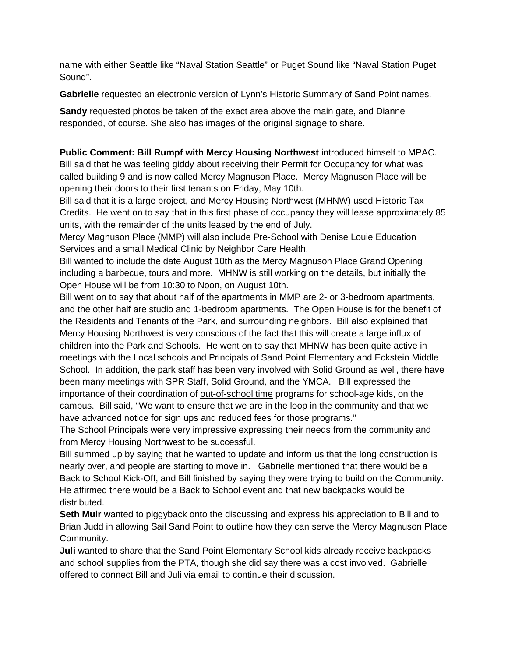name with either Seattle like "Naval Station Seattle" or Puget Sound like "Naval Station Puget Sound".

**Gabrielle** requested an electronic version of Lynn's Historic Summary of Sand Point names.

**Sandy** requested photos be taken of the exact area above the main gate, and Dianne responded, of course. She also has images of the original signage to share.

**Public Comment: Bill Rumpf with Mercy Housing Northwest** introduced himself to MPAC. Bill said that he was feeling giddy about receiving their Permit for Occupancy for what was called building 9 and is now called Mercy Magnuson Place. Mercy Magnuson Place will be opening their doors to their first tenants on Friday, May 10th.

Bill said that it is a large project, and Mercy Housing Northwest (MHNW) used Historic Tax Credits. He went on to say that in this first phase of occupancy they will lease approximately 85 units, with the remainder of the units leased by the end of July.

Mercy Magnuson Place (MMP) will also include Pre-School with Denise Louie Education Services and a small Medical Clinic by Neighbor Care Health.

Bill wanted to include the date August 10th as the Mercy Magnuson Place Grand Opening including a barbecue, tours and more. MHNW is still working on the details, but initially the Open House will be from 10:30 to Noon, on August 10th.

Bill went on to say that about half of the apartments in MMP are 2- or 3-bedroom apartments, and the other half are studio and 1-bedroom apartments. The Open House is for the benefit of the Residents and Tenants of the Park, and surrounding neighbors. Bill also explained that Mercy Housing Northwest is very conscious of the fact that this will create a large influx of children into the Park and Schools. He went on to say that MHNW has been quite active in meetings with the Local schools and Principals of Sand Point Elementary and Eckstein Middle School. In addition, the park staff has been very involved with Solid Ground as well, there have been many meetings with SPR Staff, Solid Ground, and the YMCA. Bill expressed the importance of their coordination of out-of-school time programs for school-age kids, on the campus. Bill said, "We want to ensure that we are in the loop in the community and that we have advanced notice for sign ups and reduced fees for those programs."

The School Principals were very impressive expressing their needs from the community and from Mercy Housing Northwest to be successful.

Bill summed up by saying that he wanted to update and inform us that the long construction is nearly over, and people are starting to move in. Gabrielle mentioned that there would be a Back to School Kick-Off, and Bill finished by saying they were trying to build on the Community. He affirmed there would be a Back to School event and that new backpacks would be distributed.

**Seth Muir** wanted to piggyback onto the discussing and express his appreciation to Bill and to Brian Judd in allowing Sail Sand Point to outline how they can serve the Mercy Magnuson Place Community.

**Juli** wanted to share that the Sand Point Elementary School kids already receive backpacks and school supplies from the PTA, though she did say there was a cost involved. Gabrielle offered to connect Bill and Juli via email to continue their discussion.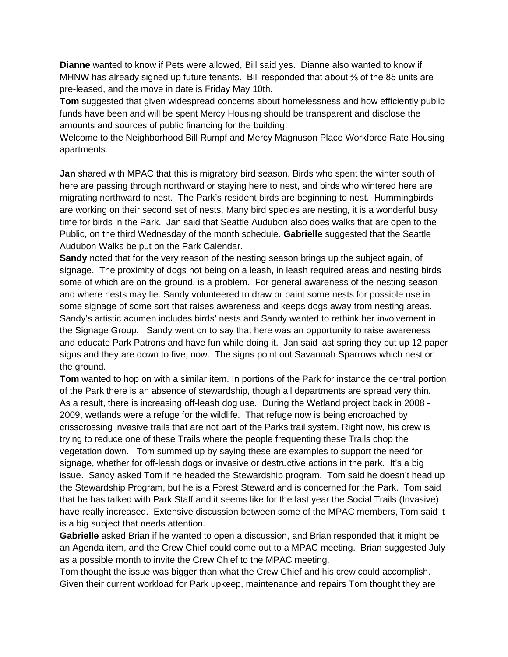**Dianne** wanted to know if Pets were allowed, Bill said yes. Dianne also wanted to know if MHNW has already signed up future tenants. Bill responded that about ⅔ of the 85 units are pre-leased, and the move in date is Friday May 10th.

**Tom** suggested that given widespread concerns about homelessness and how efficiently public funds have been and will be spent Mercy Housing should be transparent and disclose the amounts and sources of public financing for the building.

Welcome to the Neighborhood Bill Rumpf and Mercy Magnuson Place Workforce Rate Housing apartments.

**Jan** shared with MPAC that this is migratory bird season. Birds who spent the winter south of here are passing through northward or staying here to nest, and birds who wintered here are migrating northward to nest. The Park's resident birds are beginning to nest. Hummingbirds are working on their second set of nests. Many bird species are nesting, it is a wonderful busy time for birds in the Park. Jan said that Seattle Audubon also does walks that are open to the Public, on the third Wednesday of the month schedule. **Gabrielle** suggested that the Seattle Audubon Walks be put on the Park Calendar.

**Sandy** noted that for the very reason of the nesting season brings up the subject again, of signage. The proximity of dogs not being on a leash, in leash required areas and nesting birds some of which are on the ground, is a problem. For general awareness of the nesting season and where nests may lie. Sandy volunteered to draw or paint some nests for possible use in some signage of some sort that raises awareness and keeps dogs away from nesting areas. Sandy's artistic acumen includes birds' nests and Sandy wanted to rethink her involvement in the Signage Group. Sandy went on to say that here was an opportunity to raise awareness and educate Park Patrons and have fun while doing it. Jan said last spring they put up 12 paper signs and they are down to five, now. The signs point out Savannah Sparrows which nest on the ground.

**Tom** wanted to hop on with a similar item. In portions of the Park for instance the central portion of the Park there is an absence of stewardship, though all departments are spread very thin. As a result, there is increasing off-leash dog use. During the Wetland project back in 2008 - 2009, wetlands were a refuge for the wildlife. That refuge now is being encroached by crisscrossing invasive trails that are not part of the Parks trail system. Right now, his crew is trying to reduce one of these Trails where the people frequenting these Trails chop the vegetation down. Tom summed up by saying these are examples to support the need for signage, whether for off-leash dogs or invasive or destructive actions in the park. It's a big issue. Sandy asked Tom if he headed the Stewardship program. Tom said he doesn't head up the Stewardship Program, but he is a Forest Steward and is concerned for the Park. Tom said that he has talked with Park Staff and it seems like for the last year the Social Trails (Invasive) have really increased. Extensive discussion between some of the MPAC members, Tom said it is a big subject that needs attention.

**Gabrielle** asked Brian if he wanted to open a discussion, and Brian responded that it might be an Agenda item, and the Crew Chief could come out to a MPAC meeting. Brian suggested July as a possible month to invite the Crew Chief to the MPAC meeting.

Tom thought the issue was bigger than what the Crew Chief and his crew could accomplish. Given their current workload for Park upkeep, maintenance and repairs Tom thought they are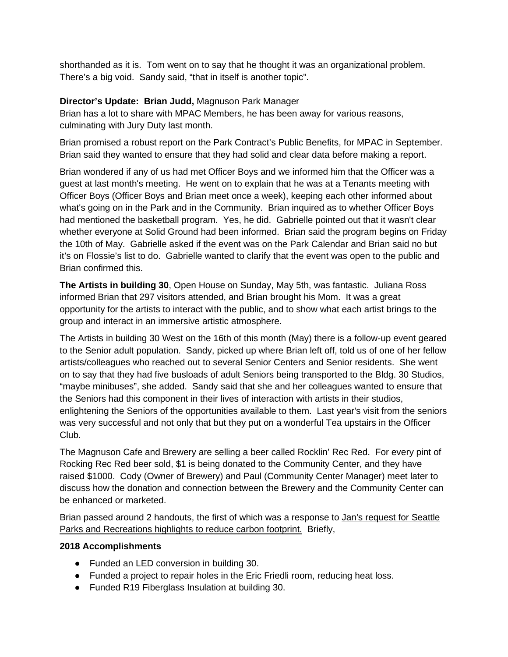shorthanded as it is. Tom went on to say that he thought it was an organizational problem. There's a big void. Sandy said, "that in itself is another topic".

## **Director's Update: Brian Judd,** Magnuson Park Manager

Brian has a lot to share with MPAC Members, he has been away for various reasons, culminating with Jury Duty last month.

Brian promised a robust report on the Park Contract's Public Benefits, for MPAC in September. Brian said they wanted to ensure that they had solid and clear data before making a report.

Brian wondered if any of us had met Officer Boys and we informed him that the Officer was a guest at last month's meeting. He went on to explain that he was at a Tenants meeting with Officer Boys (Officer Boys and Brian meet once a week), keeping each other informed about what's going on in the Park and in the Community. Brian inquired as to whether Officer Boys had mentioned the basketball program. Yes, he did. Gabrielle pointed out that it wasn't clear whether everyone at Solid Ground had been informed. Brian said the program begins on Friday the 10th of May. Gabrielle asked if the event was on the Park Calendar and Brian said no but it's on Flossie's list to do. Gabrielle wanted to clarify that the event was open to the public and Brian confirmed this.

**The Artists in building 30**, Open House on Sunday, May 5th, was fantastic. Juliana Ross informed Brian that 297 visitors attended, and Brian brought his Mom. It was a great opportunity for the artists to interact with the public, and to show what each artist brings to the group and interact in an immersive artistic atmosphere.

The Artists in building 30 West on the 16th of this month (May) there is a follow-up event geared to the Senior adult population. Sandy, picked up where Brian left off, told us of one of her fellow artists/colleagues who reached out to several Senior Centers and Senior residents. She went on to say that they had five busloads of adult Seniors being transported to the Bldg. 30 Studios, "maybe minibuses", she added. Sandy said that she and her colleagues wanted to ensure that the Seniors had this component in their lives of interaction with artists in their studios, enlightening the Seniors of the opportunities available to them. Last year's visit from the seniors was very successful and not only that but they put on a wonderful Tea upstairs in the Officer Club.

The Magnuson Cafe and Brewery are selling a beer called Rocklin' Rec Red. For every pint of Rocking Rec Red beer sold, \$1 is being donated to the Community Center, and they have raised \$1000. Cody (Owner of Brewery) and Paul (Community Center Manager) meet later to discuss how the donation and connection between the Brewery and the Community Center can be enhanced or marketed.

Brian passed around 2 handouts, the first of which was a response to Jan's request for Seattle Parks and Recreations highlights to reduce carbon footprint. Briefly,

#### **2018 Accomplishments**

- Funded an LED conversion in building 30.
- Funded a project to repair holes in the Eric Friedli room, reducing heat loss.
- Funded R19 Fiberglass Insulation at building 30.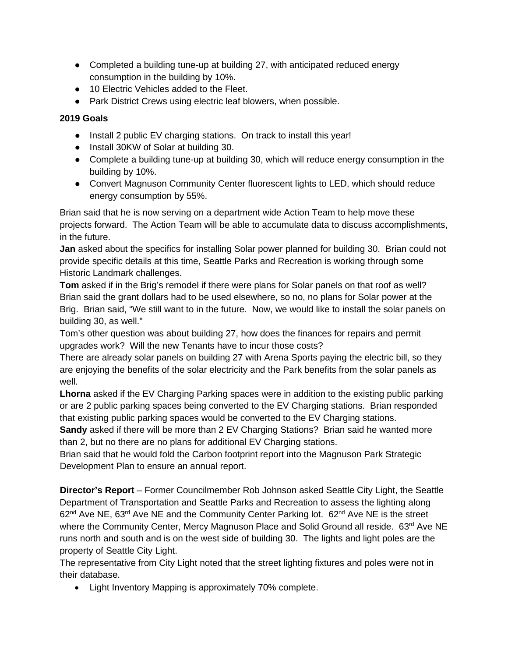- Completed a building tune-up at building 27, with anticipated reduced energy consumption in the building by 10%.
- 10 Electric Vehicles added to the Fleet.
- Park District Crews using electric leaf blowers, when possible.

## **2019 Goals**

- Install 2 public EV charging stations. On track to install this year!
- Install 30KW of Solar at building 30.
- Complete a building tune-up at building 30, which will reduce energy consumption in the building by 10%.
- Convert Magnuson Community Center fluorescent lights to LED, which should reduce energy consumption by 55%.

Brian said that he is now serving on a department wide Action Team to help move these projects forward. The Action Team will be able to accumulate data to discuss accomplishments, in the future.

**Jan** asked about the specifics for installing Solar power planned for building 30. Brian could not provide specific details at this time, Seattle Parks and Recreation is working through some Historic Landmark challenges.

**Tom** asked if in the Brig's remodel if there were plans for Solar panels on that roof as well? Brian said the grant dollars had to be used elsewhere, so no, no plans for Solar power at the Brig. Brian said, "We still want to in the future. Now, we would like to install the solar panels on building 30, as well."

Tom's other question was about building 27, how does the finances for repairs and permit upgrades work? Will the new Tenants have to incur those costs?

There are already solar panels on building 27 with Arena Sports paying the electric bill, so they are enjoying the benefits of the solar electricity and the Park benefits from the solar panels as well.

**Lhorna** asked if the EV Charging Parking spaces were in addition to the existing public parking or are 2 public parking spaces being converted to the EV Charging stations. Brian responded that existing public parking spaces would be converted to the EV Charging stations.

**Sandy** asked if there will be more than 2 EV Charging Stations? Brian said he wanted more than 2, but no there are no plans for additional EV Charging stations.

Brian said that he would fold the Carbon footprint report into the Magnuson Park Strategic Development Plan to ensure an annual report.

**Director's Report** – Former Councilmember Rob Johnson asked Seattle City Light, the Seattle Department of Transportation and Seattle Parks and Recreation to assess the lighting along  $62<sup>nd</sup>$  Ave NE,  $63<sup>rd</sup>$  Ave NE and the Community Center Parking lot.  $62<sup>nd</sup>$  Ave NE is the street where the Community Center, Mercy Magnuson Place and Solid Ground all reside. 63<sup>rd</sup> Ave NE runs north and south and is on the west side of building 30. The lights and light poles are the property of Seattle City Light.

The representative from City Light noted that the street lighting fixtures and poles were not in their database.

• Light Inventory Mapping is approximately 70% complete.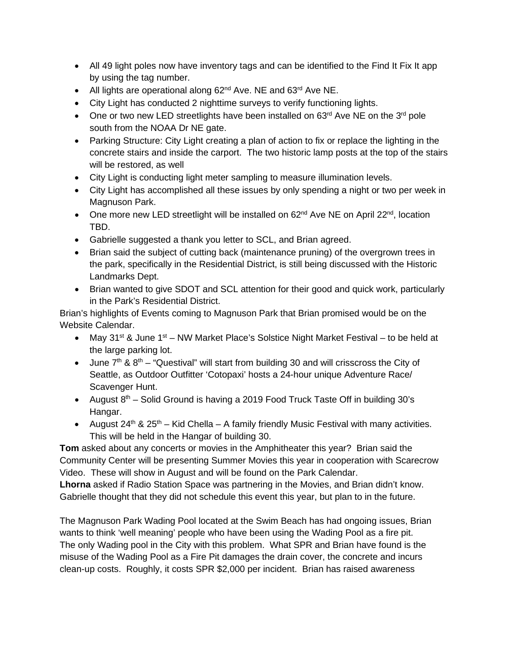- All 49 light poles now have inventory tags and can be identified to the Find It Fix It app by using the tag number.
- All lights are operational along 62<sup>nd</sup> Ave. NE and 63<sup>rd</sup> Ave NE.
- City Light has conducted 2 nighttime surveys to verify functioning lights.
- One or two new LED streetlights have been installed on  $63<sup>rd</sup>$  Ave NE on the  $3<sup>rd</sup>$  pole south from the NOAA Dr NE gate.
- Parking Structure: City Light creating a plan of action to fix or replace the lighting in the concrete stairs and inside the carport. The two historic lamp posts at the top of the stairs will be restored, as well
- City Light is conducting light meter sampling to measure illumination levels.
- City Light has accomplished all these issues by only spending a night or two per week in Magnuson Park.
- One more new LED streetlight will be installed on  $62^{nd}$  Ave NE on April 22<sup>nd</sup>, location TBD.
- Gabrielle suggested a thank you letter to SCL, and Brian agreed.
- Brian said the subject of cutting back (maintenance pruning) of the overgrown trees in the park, specifically in the Residential District, is still being discussed with the Historic Landmarks Dept.
- Brian wanted to give SDOT and SCL attention for their good and quick work, particularly in the Park's Residential District.

Brian's highlights of Events coming to Magnuson Park that Brian promised would be on the Website Calendar.

- May 31<sup>st</sup> & June 1<sup>st</sup> NW Market Place's Solstice Night Market Festival to be held at the large parking lot.
- June  $7<sup>th</sup>$  &  $8<sup>th</sup>$  "Questival" will start from building 30 and will crisscross the City of Seattle, as Outdoor Outfitter 'Cotopaxi' hosts a 24-hour unique Adventure Race/ Scavenger Hunt.
- August  $8<sup>th</sup>$  Solid Ground is having a 2019 Food Truck Taste Off in building 30's Hangar.
- August  $24<sup>th</sup>$  &  $25<sup>th</sup>$  Kid Chella A family friendly Music Festival with many activities. This will be held in the Hangar of building 30.

**Tom** asked about any concerts or movies in the Amphitheater this year? Brian said the Community Center will be presenting Summer Movies this year in cooperation with Scarecrow Video. These will show in August and will be found on the Park Calendar.

**Lhorna** asked if Radio Station Space was partnering in the Movies, and Brian didn't know. Gabrielle thought that they did not schedule this event this year, but plan to in the future.

The Magnuson Park Wading Pool located at the Swim Beach has had ongoing issues, Brian wants to think 'well meaning' people who have been using the Wading Pool as a fire pit. The only Wading pool in the City with this problem. What SPR and Brian have found is the misuse of the Wading Pool as a Fire Pit damages the drain cover, the concrete and incurs clean-up costs. Roughly, it costs SPR \$2,000 per incident. Brian has raised awareness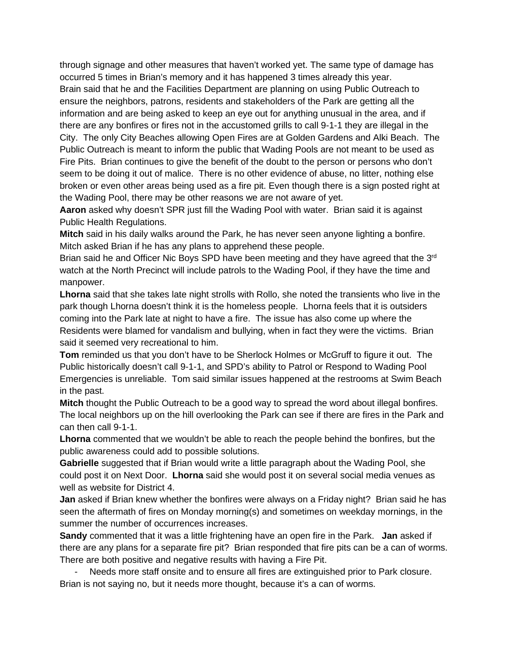through signage and other measures that haven't worked yet. The same type of damage has occurred 5 times in Brian's memory and it has happened 3 times already this year. Brain said that he and the Facilities Department are planning on using Public Outreach to ensure the neighbors, patrons, residents and stakeholders of the Park are getting all the information and are being asked to keep an eye out for anything unusual in the area, and if there are any bonfires or fires not in the accustomed grills to call 9-1-1 they are illegal in the City. The only City Beaches allowing Open Fires are at Golden Gardens and Alki Beach. The Public Outreach is meant to inform the public that Wading Pools are not meant to be used as Fire Pits. Brian continues to give the benefit of the doubt to the person or persons who don't seem to be doing it out of malice. There is no other evidence of abuse, no litter, nothing else broken or even other areas being used as a fire pit. Even though there is a sign posted right at the Wading Pool, there may be other reasons we are not aware of yet.

**Aaron** asked why doesn't SPR just fill the Wading Pool with water. Brian said it is against Public Health Regulations.

**Mitch** said in his daily walks around the Park, he has never seen anyone lighting a bonfire. Mitch asked Brian if he has any plans to apprehend these people.

Brian said he and Officer Nic Boys SPD have been meeting and they have agreed that the 3<sup>rd</sup> watch at the North Precinct will include patrols to the Wading Pool, if they have the time and manpower.

**Lhorna** said that she takes late night strolls with Rollo, she noted the transients who live in the park though Lhorna doesn't think it is the homeless people. Lhorna feels that it is outsiders coming into the Park late at night to have a fire. The issue has also come up where the Residents were blamed for vandalism and bullying, when in fact they were the victims. Brian said it seemed very recreational to him.

**Tom** reminded us that you don't have to be Sherlock Holmes or McGruff to figure it out. The Public historically doesn't call 9-1-1, and SPD's ability to Patrol or Respond to Wading Pool Emergencies is unreliable. Tom said similar issues happened at the restrooms at Swim Beach in the past.

**Mitch** thought the Public Outreach to be a good way to spread the word about illegal bonfires. The local neighbors up on the hill overlooking the Park can see if there are fires in the Park and can then call 9-1-1.

**Lhorna** commented that we wouldn't be able to reach the people behind the bonfires, but the public awareness could add to possible solutions.

**Gabrielle** suggested that if Brian would write a little paragraph about the Wading Pool, she could post it on Next Door. **Lhorna** said she would post it on several social media venues as well as website for District 4.

**Jan** asked if Brian knew whether the bonfires were always on a Friday night? Brian said he has seen the aftermath of fires on Monday morning(s) and sometimes on weekday mornings, in the summer the number of occurrences increases.

**Sandy** commented that it was a little frightening have an open fire in the Park. **Jan** asked if there are any plans for a separate fire pit? Brian responded that fire pits can be a can of worms. There are both positive and negative results with having a Fire Pit.

- Needs more staff onsite and to ensure all fires are extinguished prior to Park closure. Brian is not saying no, but it needs more thought, because it's a can of worms.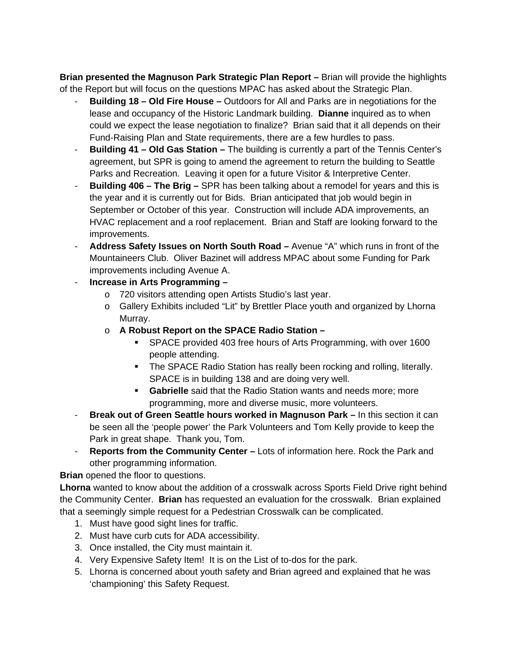**Brian presented the Magnuson Park Strategic Plan Report –** Brian will provide the highlights of the Report but will focus on the questions MPAC has asked about the Strategic Plan.

- **Building 18 – Old Fire House –** Outdoors for All and Parks are in negotiations for the lease and occupancy of the Historic Landmark building. **Dianne** inquired as to when could we expect the lease negotiation to finalize? Brian said that it all depends on their Fund-Raising Plan and State requirements, there are a few hurdles to pass.
- **Building 41 – Old Gas Station –** The building is currently a part of the Tennis Center's agreement, but SPR is going to amend the agreement to return the building to Seattle Parks and Recreation. Leaving it open for a future Visitor & Interpretive Center.
- **Building 406 – The Brig –** SPR has been talking about a remodel for years and this is the year and it is currently out for Bids. Brian anticipated that job would begin in September or October of this year. Construction will include ADA improvements, an HVAC replacement and a roof replacement. Brian and Staff are looking forward to the improvements.
- **Address Safety Issues on North South Road –** Avenue "A" which runs in front of the Mountaineers Club. Oliver Bazinet will address MPAC about some Funding for Park improvements including Avenue A.
- **Increase in Arts Programming –**
	- o 720 visitors attending open Artists Studio's last year.
	- o Gallery Exhibits included "Lit" by Brettler Place youth and organized by Lhorna Murray.
	- o **A Robust Report on the SPACE Radio Station –**
		- SPACE provided 403 free hours of Arts Programming, with over 1600 people attending.
		- The SPACE Radio Station has really been rocking and rolling, literally. SPACE is in building 138 and are doing very well.
		- **Gabrielle** said that the Radio Station wants and needs more; more programming, more and diverse music, more volunteers.
- **Break out of Green Seattle hours worked in Magnuson Park –** In this section it can be seen all the 'people power' the Park Volunteers and Tom Kelly provide to keep the Park in great shape. Thank you, Tom.
- **Reports from the Community Center –** Lots of information here. Rock the Park and other programming information.

**Brian** opened the floor to questions.

**Lhorna** wanted to know about the addition of a crosswalk across Sports Field Drive right behind the Community Center. **Brian** has requested an evaluation for the crosswalk. Brian explained that a seemingly simple request for a Pedestrian Crosswalk can be complicated.

- 1. Must have good sight lines for traffic.
- 2. Must have curb cuts for ADA accessibility.
- 3. Once installed, the City must maintain it.
- 4. Very Expensive Safety Item! It is on the List of to-dos for the park.
- 5. Lhorna is concerned about youth safety and Brian agreed and explained that he was 'championing' this Safety Request.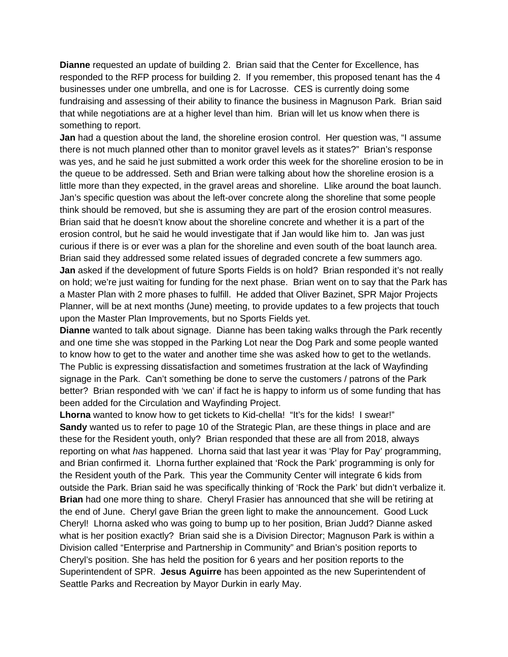**Dianne** requested an update of building 2. Brian said that the Center for Excellence, has responded to the RFP process for building 2. If you remember, this proposed tenant has the 4 businesses under one umbrella, and one is for Lacrosse. CES is currently doing some fundraising and assessing of their ability to finance the business in Magnuson Park. Brian said that while negotiations are at a higher level than him. Brian will let us know when there is something to report.

**Jan** had a question about the land, the shoreline erosion control. Her question was, "I assume there is not much planned other than to monitor gravel levels as it states?" Brian's response was yes, and he said he just submitted a work order this week for the shoreline erosion to be in the queue to be addressed. Seth and Brian were talking about how the shoreline erosion is a little more than they expected, in the gravel areas and shoreline. Llike around the boat launch. Jan's specific question was about the left-over concrete along the shoreline that some people think should be removed, but she is assuming they are part of the erosion control measures. Brian said that he doesn't know about the shoreline concrete and whether it is a part of the erosion control, but he said he would investigate that if Jan would like him to. Jan was just curious if there is or ever was a plan for the shoreline and even south of the boat launch area. Brian said they addressed some related issues of degraded concrete a few summers ago. **Jan** asked if the development of future Sports Fields is on hold? Brian responded it's not really on hold; we're just waiting for funding for the next phase. Brian went on to say that the Park has a Master Plan with 2 more phases to fulfill. He added that Oliver Bazinet, SPR Major Projects Planner, will be at next months (June) meeting, to provide updates to a few projects that touch upon the Master Plan Improvements, but no Sports Fields yet.

**Dianne** wanted to talk about signage. Dianne has been taking walks through the Park recently and one time she was stopped in the Parking Lot near the Dog Park and some people wanted to know how to get to the water and another time she was asked how to get to the wetlands. The Public is expressing dissatisfaction and sometimes frustration at the lack of Wayfinding signage in the Park. Can't something be done to serve the customers / patrons of the Park better? Brian responded with 'we can' if fact he is happy to inform us of some funding that has been added for the Circulation and Wayfinding Project.

Lhorna wanted to know how to get tickets to Kid-chella! "It's for the kids! I swear!" **Sandy** wanted us to refer to page 10 of the Strategic Plan, are these things in place and are these for the Resident youth, only? Brian responded that these are all from 2018, always reporting on what *has* happened. Lhorna said that last year it was 'Play for Pay' programming, and Brian confirmed it. Lhorna further explained that 'Rock the Park' programming is only for the Resident youth of the Park. This year the Community Center will integrate 6 kids from outside the Park. Brian said he was specifically thinking of 'Rock the Park' but didn't verbalize it. **Brian** had one more thing to share. Cheryl Frasier has announced that she will be retiring at the end of June. Cheryl gave Brian the green light to make the announcement. Good Luck Cheryl! Lhorna asked who was going to bump up to her position, Brian Judd? Dianne asked what is her position exactly? Brian said she is a Division Director; Magnuson Park is within a Division called "Enterprise and Partnership in Community" and Brian's position reports to Cheryl's position. She has held the position for 6 years and her position reports to the Superintendent of SPR. **Jesus Aguirre** has been appointed as the new Superintendent of Seattle Parks and Recreation by Mayor Durkin in early May.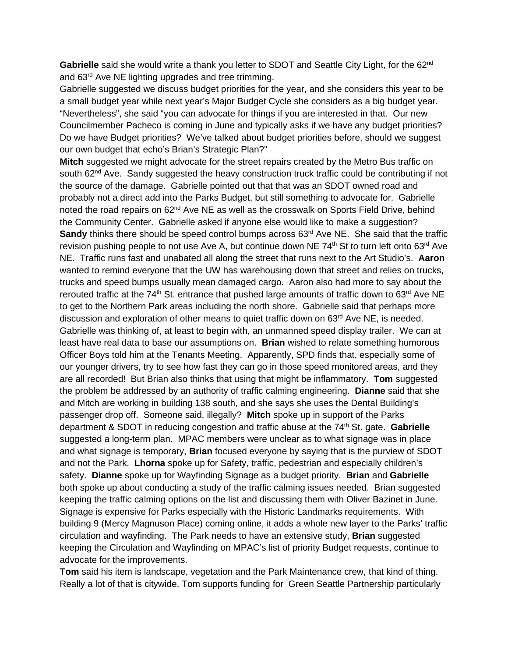Gabrielle said she would write a thank you letter to SDOT and Seattle City Light, for the 62<sup>nd</sup> and 63rd Ave NE lighting upgrades and tree trimming.

Gabrielle suggested we discuss budget priorities for the year, and she considers this year to be a small budget year while next year's Major Budget Cycle she considers as a big budget year. "Nevertheless", she said "you can advocate for things if you are interested in that. Our new Councilmember Pacheco is coming in June and typically asks if we have any budget priorities? Do we have Budget priorities? We've talked about budget priorities before, should we suggest our own budget that echo's Brian's Strategic Plan?"

**Mitch** suggested we might advocate for the street repairs created by the Metro Bus traffic on south 62<sup>nd</sup> Ave. Sandy suggested the heavy construction truck traffic could be contributing if not the source of the damage. Gabrielle pointed out that that was an SDOT owned road and probably not a direct add into the Parks Budget, but still something to advocate for. Gabrielle noted the road repairs on 62<sup>nd</sup> Ave NE as well as the crosswalk on Sports Field Drive, behind the Community Center. Gabrielle asked if anyone else would like to make a suggestion? **Sandy** thinks there should be speed control bumps across 63<sup>rd</sup> Ave NE. She said that the traffic revision pushing people to not use Ave A, but continue down NE 74<sup>th</sup> St to turn left onto 63<sup>rd</sup> Ave NE. Traffic runs fast and unabated all along the street that runs next to the Art Studio's. **Aaron**  wanted to remind everyone that the UW has warehousing down that street and relies on trucks, trucks and speed bumps usually mean damaged cargo. Aaron also had more to say about the rerouted traffic at the  $74<sup>th</sup>$  St. entrance that pushed large amounts of traffic down to  $63<sup>rd</sup>$  Ave NE to get to the Northern Park areas including the north shore. Gabrielle said that perhaps more discussion and exploration of other means to quiet traffic down on  $63<sup>rd</sup>$  Ave NE, is needed. Gabrielle was thinking of, at least to begin with, an unmanned speed display trailer. We can at least have real data to base our assumptions on. **Brian** wished to relate something humorous Officer Boys told him at the Tenants Meeting. Apparently, SPD finds that, especially some of our younger drivers, try to see how fast they can go in those speed monitored areas, and they are all recorded! But Brian also thinks that using that might be inflammatory. **Tom** suggested the problem be addressed by an authority of traffic calming engineering. **Dianne** said that she and Mitch are working in building 138 south, and she says she uses the Dental Building's passenger drop off. Someone said, illegally? **Mitch** spoke up in support of the Parks department & SDOT in reducing congestion and traffic abuse at the 74<sup>th</sup> St. gate. Gabrielle suggested a long-term plan. MPAC members were unclear as to what signage was in place and what signage is temporary, **Brian** focused everyone by saying that is the purview of SDOT and not the Park. **Lhorna** spoke up for Safety, traffic, pedestrian and especially children's safety. **Dianne** spoke up for Wayfinding Signage as a budget priority. **Brian** and **Gabrielle**  both spoke up about conducting a study of the traffic calming issues needed. Brian suggested keeping the traffic calming options on the list and discussing them with Oliver Bazinet in June. Signage is expensive for Parks especially with the Historic Landmarks requirements. With building 9 (Mercy Magnuson Place) coming online, it adds a whole new layer to the Parks' traffic circulation and wayfinding. The Park needs to have an extensive study, **Brian** suggested keeping the Circulation and Wayfinding on MPAC's list of priority Budget requests, continue to advocate for the improvements.

**Tom** said his item is landscape, vegetation and the Park Maintenance crew, that kind of thing. Really a lot of that is citywide, Tom supports funding for Green Seattle Partnership particularly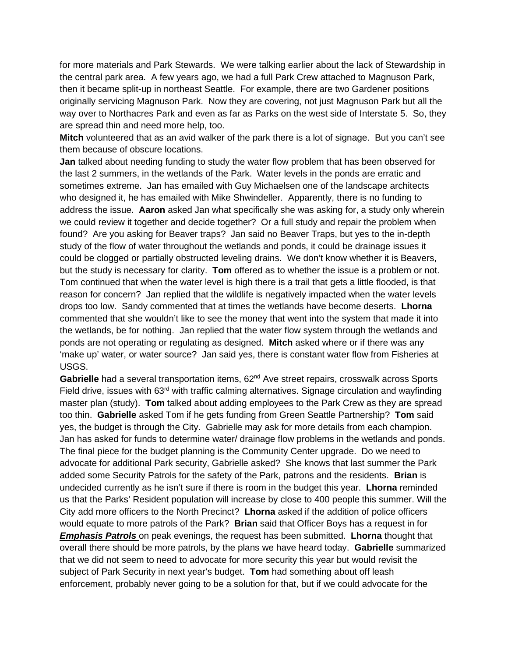for more materials and Park Stewards. We were talking earlier about the lack of Stewardship in the central park area. A few years ago, we had a full Park Crew attached to Magnuson Park, then it became split-up in northeast Seattle. For example, there are two Gardener positions originally servicing Magnuson Park. Now they are covering, not just Magnuson Park but all the way over to Northacres Park and even as far as Parks on the west side of Interstate 5. So, they are spread thin and need more help, too.

**Mitch** volunteered that as an avid walker of the park there is a lot of signage. But you can't see them because of obscure locations.

**Jan** talked about needing funding to study the water flow problem that has been observed for the last 2 summers, in the wetlands of the Park. Water levels in the ponds are erratic and sometimes extreme. Jan has emailed with Guy Michaelsen one of the landscape architects who designed it, he has emailed with Mike Shwindeller. Apparently, there is no funding to address the issue. **Aaron** asked Jan what specifically she was asking for, a study only wherein we could review it together and decide together? Or a full study and repair the problem when found? Are you asking for Beaver traps? Jan said no Beaver Traps, but yes to the in-depth study of the flow of water throughout the wetlands and ponds, it could be drainage issues it could be clogged or partially obstructed leveling drains. We don't know whether it is Beavers, but the study is necessary for clarity. **Tom** offered as to whether the issue is a problem or not. Tom continued that when the water level is high there is a trail that gets a little flooded, is that reason for concern? Jan replied that the wildlife is negatively impacted when the water levels drops too low. Sandy commented that at times the wetlands have become deserts. **Lhorna** commented that she wouldn't like to see the money that went into the system that made it into the wetlands, be for nothing. Jan replied that the water flow system through the wetlands and ponds are not operating or regulating as designed. **Mitch** asked where or if there was any 'make up' water, or water source? Jan said yes, there is constant water flow from Fisheries at USGS.

Gabrielle had a several transportation items, 62<sup>nd</sup> Ave street repairs, crosswalk across Sports Field drive, issues with 63<sup>rd</sup> with traffic calming alternatives. Signage circulation and wayfinding master plan (study). **Tom** talked about adding employees to the Park Crew as they are spread too thin. **Gabrielle** asked Tom if he gets funding from Green Seattle Partnership? **Tom** said yes, the budget is through the City. Gabrielle may ask for more details from each champion. Jan has asked for funds to determine water/ drainage flow problems in the wetlands and ponds. The final piece for the budget planning is the Community Center upgrade. Do we need to advocate for additional Park security, Gabrielle asked? She knows that last summer the Park added some Security Patrols for the safety of the Park, patrons and the residents. **Brian** is undecided currently as he isn't sure if there is room in the budget this year. **Lhorna** reminded us that the Parks' Resident population will increase by close to 400 people this summer. Will the City add more officers to the North Precinct? **Lhorna** asked if the addition of police officers would equate to more patrols of the Park? **Brian** said that Officer Boys has a request in for *Emphasis Patrols* on peak evenings, the request has been submitted. **Lhorna** thought that overall there should be more patrols, by the plans we have heard today. **Gabrielle** summarized that we did not seem to need to advocate for more security this year but would revisit the subject of Park Security in next year's budget. **Tom** had something about off leash enforcement, probably never going to be a solution for that, but if we could advocate for the